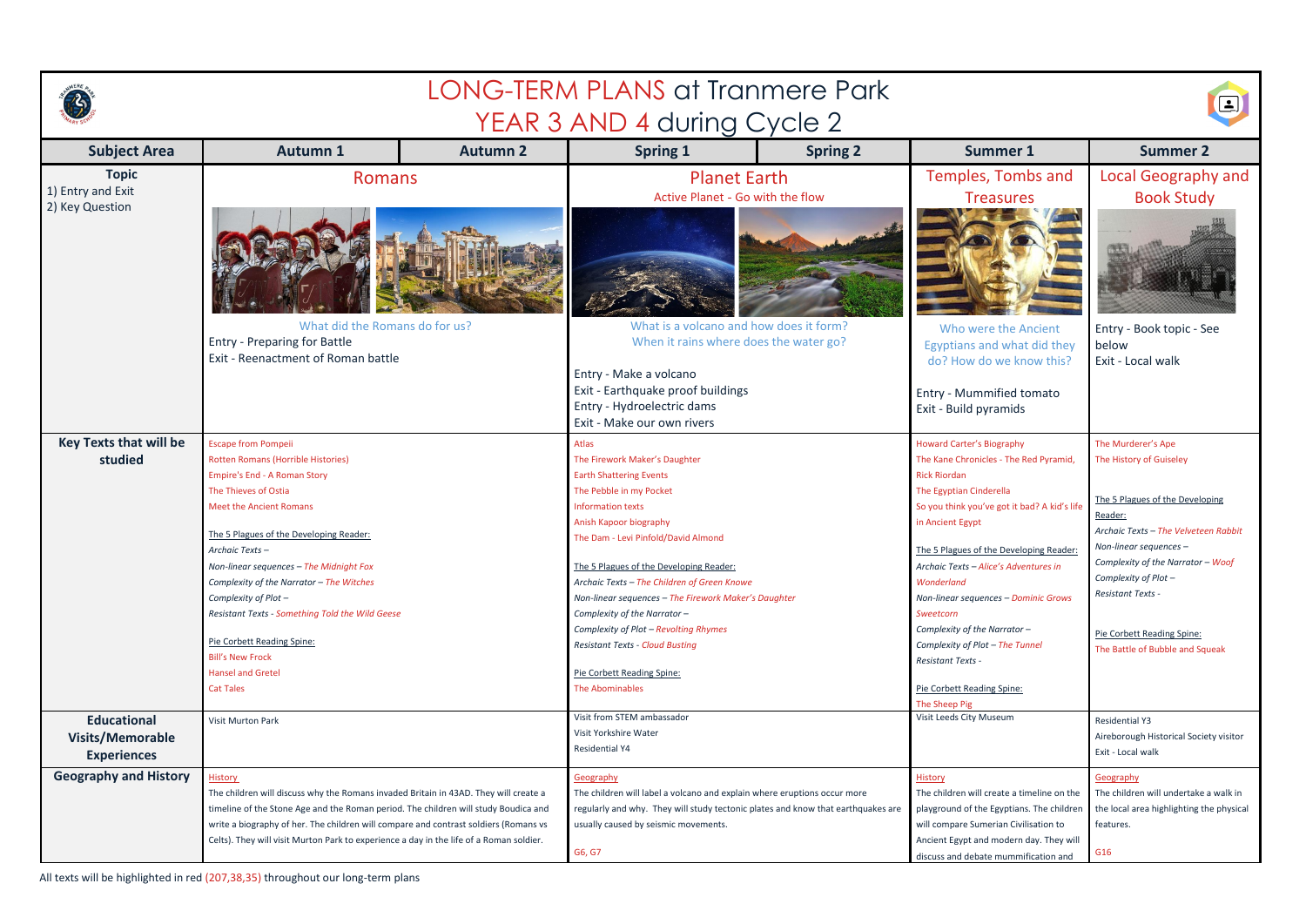

|                                                                     |                                                                                                                                                                                                                                                                                                                                                                                                                                   | 8               |                                                                                                                                                                                                                                                                                                                                                                                    |                 |                                                                                                                                                                                                                                                                                                                                                         |                                                                                                                                                                                                                                                          |
|---------------------------------------------------------------------|-----------------------------------------------------------------------------------------------------------------------------------------------------------------------------------------------------------------------------------------------------------------------------------------------------------------------------------------------------------------------------------------------------------------------------------|-----------------|------------------------------------------------------------------------------------------------------------------------------------------------------------------------------------------------------------------------------------------------------------------------------------------------------------------------------------------------------------------------------------|-----------------|---------------------------------------------------------------------------------------------------------------------------------------------------------------------------------------------------------------------------------------------------------------------------------------------------------------------------------------------------------|----------------------------------------------------------------------------------------------------------------------------------------------------------------------------------------------------------------------------------------------------------|
| <b>Subject Area</b>                                                 | <b>Autumn 1</b>                                                                                                                                                                                                                                                                                                                                                                                                                   | <b>Autumn 2</b> | YEAR 3 AND 4 during Cycle 2<br><b>Spring 1</b>                                                                                                                                                                                                                                                                                                                                     | <b>Spring 2</b> | <b>Summer 1</b>                                                                                                                                                                                                                                                                                                                                         | <b>Summer 2</b>                                                                                                                                                                                                                                          |
| <b>Topic</b><br>1) Entry and Exit                                   | <b>Romans</b>                                                                                                                                                                                                                                                                                                                                                                                                                     |                 | <b>Planet Earth</b><br>Active Planet - Go with the flow                                                                                                                                                                                                                                                                                                                            |                 | Temples, Tombs and<br><b>Treasures</b>                                                                                                                                                                                                                                                                                                                  | <b>Local Geography and</b><br><b>Book Study</b>                                                                                                                                                                                                          |
| 2) Key Question                                                     |                                                                                                                                                                                                                                                                                                                                                                                                                                   |                 |                                                                                                                                                                                                                                                                                                                                                                                    |                 |                                                                                                                                                                                                                                                                                                                                                         |                                                                                                                                                                                                                                                          |
|                                                                     | What did the Romans do for us?<br><b>Entry - Preparing for Battle</b><br>Exit - Reenactment of Roman battle                                                                                                                                                                                                                                                                                                                       |                 | What is a volcano and how does it form?<br>When it rains where does the water go?<br>Entry - Make a volcano                                                                                                                                                                                                                                                                        |                 | Who were the Ancient<br>Egyptians and what did they<br>do? How do we know this?                                                                                                                                                                                                                                                                         | Entry - Book topic - See<br>below<br>Exit - Local walk                                                                                                                                                                                                   |
|                                                                     |                                                                                                                                                                                                                                                                                                                                                                                                                                   |                 | Exit - Earthquake proof buildings<br>Entry - Hydroelectric dams<br>Exit - Make our own rivers                                                                                                                                                                                                                                                                                      |                 | Entry - Mummified tomato<br>Exit - Build pyramids                                                                                                                                                                                                                                                                                                       |                                                                                                                                                                                                                                                          |
| studied                                                             | <b>Key Texts that will be</b><br><b>Escape from Pompeii</b><br>Rotten Romans (Horrible Histories)<br><b>Empire's End - A Roman Story</b><br>The Thieves of Ostia<br><b>Meet the Ancient Romans</b><br>The 5 Plagues of the Developing Reader:<br>Archaic Texts-<br>Non-linear sequences - The Midnight Fox<br>Complexity of the Narrator - The Witches<br>Complexity of Plot -<br>Resistant Texts - Something Told the Wild Geese |                 | Atlas<br>The Firework Maker's Daughter<br><b>Earth Shattering Events</b><br>The Pebble in my Pocket<br><b>Information texts</b><br>Anish Kapoor biography<br>The Dam - Levi Pinfold/David Almond<br>The 5 Plagues of the Developing Reader:<br>Archaic Texts - The Children of Green Knowe<br>Non-linear sequences - The Firework Maker's Daughter<br>Complexity of the Narrator - |                 | <b>Howard Carter's Biography</b><br>The Kane Chronicles - The Red Pyramid,<br><b>Rick Riordan</b><br>The Egyptian Cinderella<br>So you think you've got it bad? A kid's life<br>in Ancient Egypt<br>The 5 Plagues of the Developing Reader:<br>Archaic Texts - Alice's Adventures in<br>Wonderland<br>Non-linear sequences - Dominic Grows<br>Sweetcorn | The Murderer's Ape<br>The History of Guiseley<br>The 5 Plagues of the Developing<br>Reader:<br>Archaic Texts - The Velveteen Rabbit<br>Non-linear sequences $-$<br>Complexity of the Narrator - Woof<br>Complexity of Plot -<br><b>Resistant Texts -</b> |
|                                                                     | Pie Corbett Reading Spine:<br><b>Bill's New Frock</b><br><b>Hansel and Gretel</b><br><b>Cat Tales</b>                                                                                                                                                                                                                                                                                                                             |                 | Complexity of Plot - Revolting Rhymes<br><b>Resistant Texts - Cloud Busting</b><br>Pie Corbett Reading Spine:<br>The Abominables                                                                                                                                                                                                                                                   |                 | Complexity of the Narrator -<br>Complexity of Plot - The Tunnel<br><b>Resistant Texts -</b><br>Pie Corbett Reading Spine:<br>The Sheep Pig                                                                                                                                                                                                              | Pie Corbett Reading Spine:<br>The Battle of Bubble and Squeak                                                                                                                                                                                            |
| <b>Educational</b><br><b>Visits/Memorable</b><br><b>Experiences</b> | <b>Visit Murton Park</b>                                                                                                                                                                                                                                                                                                                                                                                                          |                 | Visit from STEM ambassador<br>Visit Yorkshire Water<br><b>Residential Y4</b>                                                                                                                                                                                                                                                                                                       |                 | Visit Leeds City Museum                                                                                                                                                                                                                                                                                                                                 | <b>Residential Y3</b><br>Aireborough Historical Society visitor<br>Exit - Local walk                                                                                                                                                                     |
| <b>Geography and History</b>                                        | <b>History</b><br>The children will discuss why the Romans invaded Britain in 43AD. They will create a<br>timeline of the Stone Age and the Roman period. The children will study Boudica and<br>write a biography of her. The children will compare and contrast soldiers (Romans vs<br>Celts). They will visit Murton Park to experience a day in the life of a Roman soldier.                                                  |                 | Geography<br>The children will label a volcano and explain where eruptions occur more<br>regularly and why. They will study tectonic plates and know that earthquakes are<br>usually caused by seismic movements.<br>G6, G7                                                                                                                                                        |                 | <b>History</b><br>The children will create a timeline on the<br>playground of the Egyptians. The children<br>will compare Sumerian Civilisation to<br>Ancient Egypt and modern day. They will<br>discuss and debate mummification and                                                                                                                   | <b>Geography</b><br>The children will undertake a walk in<br>the local area highlighting the physical<br>features.<br>G16                                                                                                                                |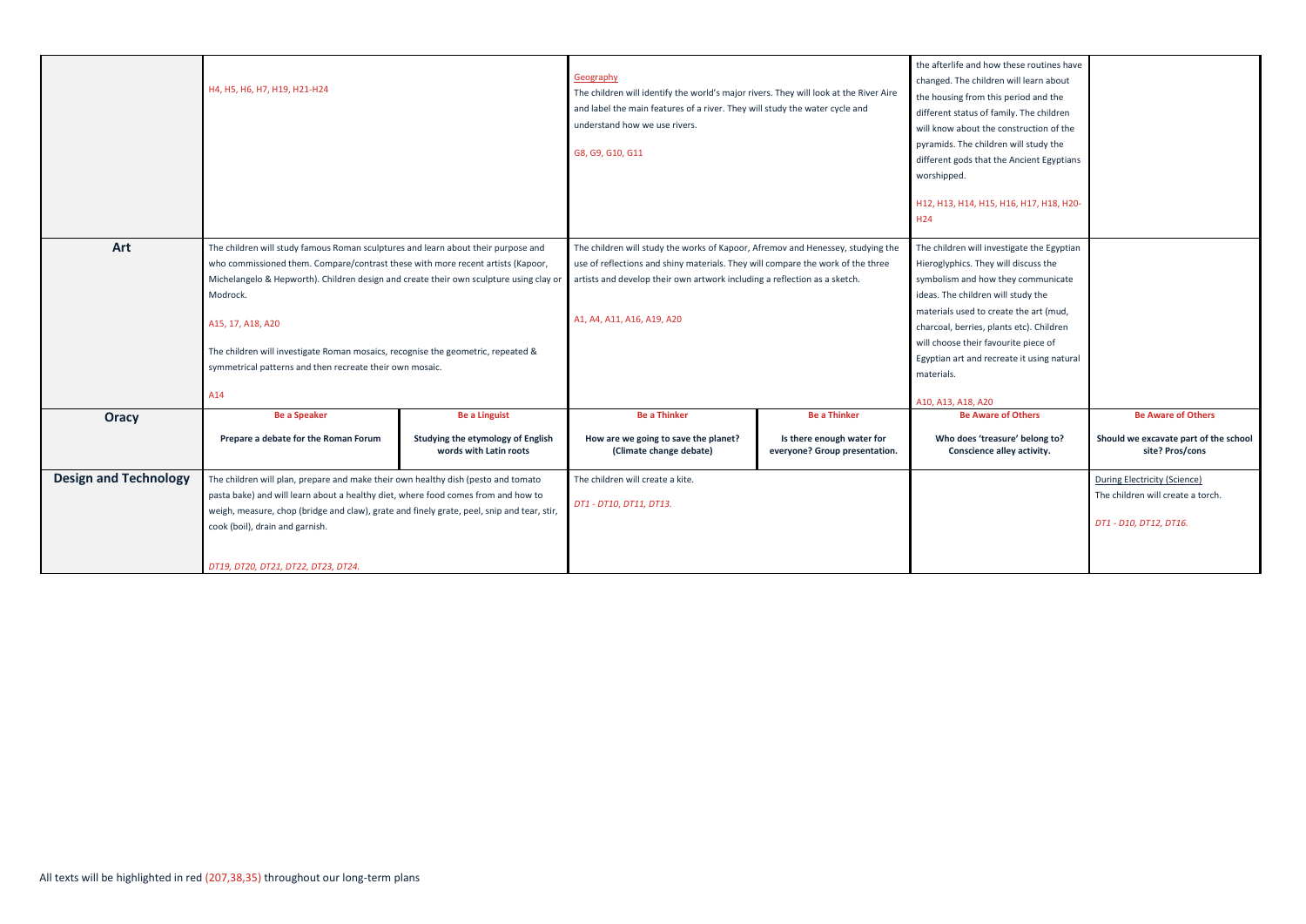|                              | H4, H5, H6, H7, H19, H21-H24                                                                                                                                                                                                                                                                                                                                                                                                                           |                                                             | Geography<br>The children will identify the world's major rivers. They will look at the River Aire<br>and label the main features of a river. They will study the water cycle and<br>understand how we use rivers.<br>G8, G9, G10, G11                                        |                                                                                                                                                                                                                                                                                                                                                              | the afterlife and how these routine<br>changed. The children will learn ab<br>the housing from this period and th<br>different status of family. The child<br>will know about the construction of<br>pyramids. The children will study th<br>different gods that the Ancient Egy<br>worshipped.<br>H12, H13, H14, H15, H16, H17, H18<br>H <sub>24</sub> |
|------------------------------|--------------------------------------------------------------------------------------------------------------------------------------------------------------------------------------------------------------------------------------------------------------------------------------------------------------------------------------------------------------------------------------------------------------------------------------------------------|-------------------------------------------------------------|-------------------------------------------------------------------------------------------------------------------------------------------------------------------------------------------------------------------------------------------------------------------------------|--------------------------------------------------------------------------------------------------------------------------------------------------------------------------------------------------------------------------------------------------------------------------------------------------------------------------------------------------------------|---------------------------------------------------------------------------------------------------------------------------------------------------------------------------------------------------------------------------------------------------------------------------------------------------------------------------------------------------------|
| Art                          | The children will study famous Roman sculptures and learn about their purpose and<br>who commissioned them. Compare/contrast these with more recent artists (Kapoor,<br>Michelangelo & Hepworth). Children design and create their own sculpture using clay or<br>Modrock.<br>A15, 17, A18, A20<br>The children will investigate Roman mosaics, recognise the geometric, repeated &<br>symmetrical patterns and then recreate their own mosaic.<br>A14 |                                                             | The children will study the works of Kapoor, Afremov and Henessey, studying the<br>use of reflections and shiny materials. They will compare the work of the three<br>artists and develop their own artwork including a reflection as a sketch.<br>A1, A4, A11, A16, A19, A20 | The children will investigate the Egy<br>Hieroglyphics. They will discuss the<br>symbolism and how they communi-<br>ideas. The children will study the<br>materials used to create the art (mi<br>charcoal, berries, plants etc). Childr<br>will choose their favourite piece of<br>Egyptian art and recreate it using n<br>materials.<br>A10, A13, A18, A20 |                                                                                                                                                                                                                                                                                                                                                         |
| <b>Oracy</b>                 | <b>Be a Speaker</b>                                                                                                                                                                                                                                                                                                                                                                                                                                    | <b>Be a Linguist</b>                                        | <b>Be a Thinker</b>                                                                                                                                                                                                                                                           | <b>Be a Thinker</b>                                                                                                                                                                                                                                                                                                                                          | <b>Be Aware of Others</b>                                                                                                                                                                                                                                                                                                                               |
|                              | Prepare a debate for the Roman Forum                                                                                                                                                                                                                                                                                                                                                                                                                   | Studying the etymology of English<br>words with Latin roots | How are we going to save the planet?<br>(Climate change debate)                                                                                                                                                                                                               | Is there enough water for<br>everyone? Group presentation.                                                                                                                                                                                                                                                                                                   | Who does 'treasure' belong to<br>Conscience alley activity.                                                                                                                                                                                                                                                                                             |
| <b>Design and Technology</b> | The children will plan, prepare and make their own healthy dish (pesto and tomato<br>pasta bake) and will learn about a healthy diet, where food comes from and how to<br>weigh, measure, chop (bridge and claw), grate and finely grate, peel, snip and tear, stir,<br>cook (boil), drain and garnish.                                                                                                                                                |                                                             | The children will create a kite.<br>DT1 - DT10, DT11, DT13.                                                                                                                                                                                                                   |                                                                                                                                                                                                                                                                                                                                                              |                                                                                                                                                                                                                                                                                                                                                         |
|                              | DT19, DT20, DT21, DT22, DT23, DT24.                                                                                                                                                                                                                                                                                                                                                                                                                    |                                                             |                                                                                                                                                                                                                                                                               |                                                                                                                                                                                                                                                                                                                                                              |                                                                                                                                                                                                                                                                                                                                                         |

| the afterlife and how these routines have<br>changed. The children will learn about<br>the housing from this period and the<br>different status of family. The children<br>will know about the construction of the<br>pyramids. The children will study the<br>different gods that the Ancient Egyptians<br>worshipped.<br>H12, H13, H14, H15, H16, H17, H18, H20-             |                                                                                             |
|--------------------------------------------------------------------------------------------------------------------------------------------------------------------------------------------------------------------------------------------------------------------------------------------------------------------------------------------------------------------------------|---------------------------------------------------------------------------------------------|
| H <sub>24</sub>                                                                                                                                                                                                                                                                                                                                                                |                                                                                             |
| The children will investigate the Egyptian<br>Hieroglyphics. They will discuss the<br>symbolism and how they communicate<br>ideas. The children will study the<br>materials used to create the art (mud,<br>charcoal, berries, plants etc). Children<br>will choose their favourite piece of<br>Egyptian art and recreate it using natural<br>materials.<br>A10, A13, A18, A20 |                                                                                             |
| <b>Be Aware of Others</b>                                                                                                                                                                                                                                                                                                                                                      | <b>Be Aware of Others</b>                                                                   |
| Who does 'treasure' belong to?<br>Conscience alley activity.                                                                                                                                                                                                                                                                                                                   | Should we excavate part of the school<br>site? Pros/cons                                    |
|                                                                                                                                                                                                                                                                                                                                                                                | During Electricity (Science)<br>The children will create a torch.<br>DT1 - D10, DT12, DT16. |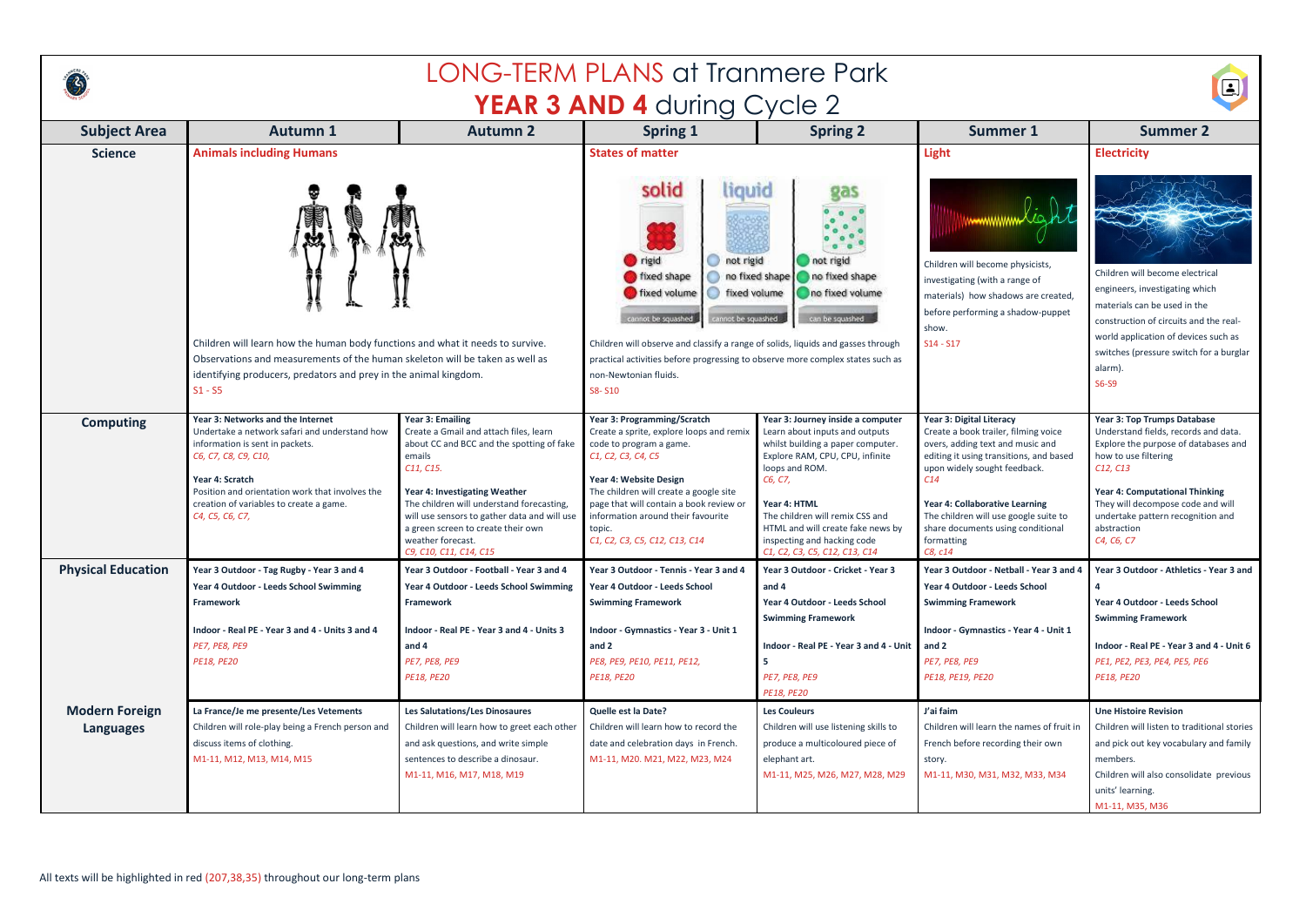

## LONG-TERM PLANS at Tranmere Park **YEAR 3 AND 4 during Cycle 2**



| <b>Subject Area</b>                       | <b>Autumn 1</b>                                                                                                                                                                                                                                                                   | <b>Autumn 2</b>                                                                                                                                                                                                                                                                                                                                          | <b>Spring 1</b>                                                                                                                                                                                                                                                                                                          | <b>Spring 2</b>                                                                                                                                                                                                                                                                                                                  | <b>Summer 1</b>                                                                                                                                                                                                                                                                                                                 | <b>Summer 2</b>                                                                                                                                                                                                                                                                                                          |
|-------------------------------------------|-----------------------------------------------------------------------------------------------------------------------------------------------------------------------------------------------------------------------------------------------------------------------------------|----------------------------------------------------------------------------------------------------------------------------------------------------------------------------------------------------------------------------------------------------------------------------------------------------------------------------------------------------------|--------------------------------------------------------------------------------------------------------------------------------------------------------------------------------------------------------------------------------------------------------------------------------------------------------------------------|----------------------------------------------------------------------------------------------------------------------------------------------------------------------------------------------------------------------------------------------------------------------------------------------------------------------------------|---------------------------------------------------------------------------------------------------------------------------------------------------------------------------------------------------------------------------------------------------------------------------------------------------------------------------------|--------------------------------------------------------------------------------------------------------------------------------------------------------------------------------------------------------------------------------------------------------------------------------------------------------------------------|
| <b>Science</b>                            | <b>Animals including Humans</b>                                                                                                                                                                                                                                                   |                                                                                                                                                                                                                                                                                                                                                          | <b>States of matter</b>                                                                                                                                                                                                                                                                                                  |                                                                                                                                                                                                                                                                                                                                  | <b>Light</b>                                                                                                                                                                                                                                                                                                                    | <b>Electricity</b>                                                                                                                                                                                                                                                                                                       |
|                                           | E.                                                                                                                                                                                                                                                                                |                                                                                                                                                                                                                                                                                                                                                          | solid<br>hquid<br>rigid<br>not rigid<br>fixed shape<br>fixed volume<br>tixed volume<br>cannot be squashed<br>cannot be squashed                                                                                                                                                                                          | ga:<br>$^{\circ}$<br>not rigid<br>no fixed shape no fixed shape<br>no fixed volume<br>can be squashed                                                                                                                                                                                                                            | Children will become physicists,<br>investigating (with a range of<br>materials) how shadows are created,<br>before performing a shadow-puppet<br>show.                                                                                                                                                                         | Children will become electrical<br>engineers, investigating which<br>materials can be used in the<br>construction of circuits and the real-                                                                                                                                                                              |
|                                           | Children will learn how the human body functions and what it needs to survive.<br>Observations and measurements of the human skeleton will be taken as well as<br>identifying producers, predators and prey in the animal kingdom.<br>$S1 - S5$                                   |                                                                                                                                                                                                                                                                                                                                                          | Children will observe and classify a range of solids, liquids and gasses through<br>practical activities before progressing to observe more complex states such as<br>non-Newtonian fluids.<br>S8-S10                                                                                                                    |                                                                                                                                                                                                                                                                                                                                  | $S14 - S17$                                                                                                                                                                                                                                                                                                                     | world application of devices such as<br>switches (pressure switch for a burglar<br>alarm).<br>S6-S9                                                                                                                                                                                                                      |
| <b>Computing</b>                          | Year 3: Networks and the Internet<br>Undertake a network safari and understand how<br>information is sent in packets.<br>C6, C7, C8, C9, C10,<br>Year 4: Scratch<br>Position and orientation work that involves the<br>creation of variables to create a game.<br>C4, C5, C6, C7, | <b>Year 3: Emailing</b><br>Create a Gmail and attach files, learn<br>about CC and BCC and the spotting of fake<br>emails<br>C11, C15.<br>Year 4: Investigating Weather<br>The children will understand forecasting,<br>will use sensors to gather data and will use<br>a green screen to create their own<br>weather forecast.<br>C9, C10, C11, C14, C15 | Year 3: Programming/Scratch<br>Create a sprite, explore loops and remix<br>code to program a game.<br>C1, C2, C3, C4, C5<br>Year 4: Website Design<br>The children will create a google site<br>page that will contain a book review or<br>information around their favourite<br>topic.<br>C1, C2, C3, C5, C12, C13, C14 | Year 3: Journey inside a computer<br>Learn about inputs and outputs<br>whilst building a paper computer.<br>Explore RAM, CPU, CPU, infinite<br>loops and ROM.<br>C6, C7,<br>Year 4: HTML<br>The children will remix CSS and<br>HTML and will create fake news by<br>inspecting and hacking code<br>C1, C2, C3, C5, C12, C13, C14 | Year 3: Digital Literacy<br>Create a book trailer, filming voice<br>overs, adding text and music and<br>editing it using transitions, and based<br>upon widely sought feedback.<br>C14<br>Year 4: Collaborative Learning<br>The children will use google suite to<br>share documents using conditional<br>formatting<br>C8, c14 | Year 3: Top Trumps Database<br>Understand fields, records and data.<br>Explore the purpose of databases and<br>how to use filtering<br>C <sub>12</sub> , C <sub>13</sub><br><b>Year 4: Computational Thinking</b><br>They will decompose code and will<br>undertake pattern recognition and<br>abstraction<br>C4, C6, C7 |
| <b>Physical Education</b>                 | Year 3 Outdoor - Tag Rugby - Year 3 and 4<br>Year 4 Outdoor - Leeds School Swimming<br>Framework<br>Indoor - Real PE - Year 3 and 4 - Units 3 and 4<br><b>PE7, PE8, PE9</b><br><b>PE18, PE20</b>                                                                                  | Year 3 Outdoor - Football - Year 3 and 4<br>Year 4 Outdoor - Leeds School Swimming<br>Framework<br>Indoor - Real PE - Year 3 and 4 - Units 3<br>and 4<br><b>PE7, PE8, PE9</b><br><b>PE18, PE20</b>                                                                                                                                                       | Year 3 Outdoor - Tennis - Year 3 and 4<br>Year 4 Outdoor - Leeds School<br><b>Swimming Framework</b><br>Indoor - Gymnastics - Year 3 - Unit 1<br>and 2<br>PE8, PE9, PE10, PE11, PE12,<br><b>PE18, PE20</b>                                                                                                               | Year 3 Outdoor - Cricket - Year 3<br>and 4<br><b>Year 4 Outdoor - Leeds School</b><br><b>Swimming Framework</b><br>Indoor - Real PE - Year 3 and 4 - Unit<br>-5<br>PE7, PE8, PE9<br><b>PE18, PE20</b>                                                                                                                            | Year 3 Outdoor - Netball - Year 3 and 4<br>Year 4 Outdoor - Leeds School<br><b>Swimming Framework</b><br>Indoor - Gymnastics - Year 4 - Unit 1<br>and 2<br>PE7, PE8, PE9<br><b>PE18, PE19, PE20</b>                                                                                                                             | Year 3 Outdoor - Athletics - Year 3 and<br>Year 4 Outdoor - Leeds School<br><b>Swimming Framework</b><br>Indoor - Real PE - Year 3 and 4 - Unit 6<br>PE1, PE2, PE3, PE4, PE5, PE6<br><b>PE18, PE20</b>                                                                                                                   |
| <b>Modern Foreign</b><br><b>Languages</b> | La France/Je me presente/Les Vetements<br>Children will role-play being a French person and<br>discuss items of clothing.<br>M1-11, M12, M13, M14, M15                                                                                                                            | <b>Les Salutations/Les Dinosaures</b><br>Children will learn how to greet each other<br>and ask questions, and write simple<br>sentences to describe a dinosaur.<br>M1-11, M16, M17, M18, M19                                                                                                                                                            | Quelle est la Date?<br>Children will learn how to record the<br>date and celebration days in French.<br>M1-11, M20. M21, M22, M23, M24                                                                                                                                                                                   | <b>Les Couleurs</b><br>Children will use listening skills to<br>produce a multicoloured piece of<br>elephant art.<br>M1-11, M25, M26, M27, M28, M29                                                                                                                                                                              | J'ai faim<br>Children will learn the names of fruit in<br>French before recording their own<br>story.<br>M1-11, M30, M31, M32, M33, M34                                                                                                                                                                                         | <b>Une Histoire Revision</b><br>Children will listen to traditional stories<br>and pick out key vocabulary and family<br>members.<br>Children will also consolidate previous<br>units' learning.<br>M1-11, M35, M36                                                                                                      |